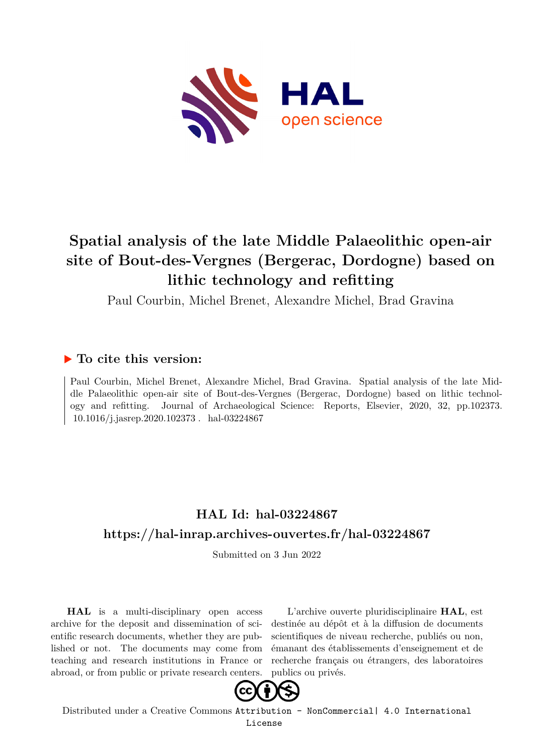

# **Spatial analysis of the late Middle Palaeolithic open-air site of Bout-des-Vergnes (Bergerac, Dordogne) based on lithic technology and refitting**

Paul Courbin, Michel Brenet, Alexandre Michel, Brad Gravina

## **To cite this version:**

Paul Courbin, Michel Brenet, Alexandre Michel, Brad Gravina. Spatial analysis of the late Middle Palaeolithic open-air site of Bout-des-Vergnes (Bergerac, Dordogne) based on lithic technology and refitting. Journal of Archaeological Science: Reports, Elsevier, 2020, 32, pp.102373. 10.1016/j.jasrep.2020.102373. hal-03224867

# **HAL Id: hal-03224867 <https://hal-inrap.archives-ouvertes.fr/hal-03224867>**

Submitted on 3 Jun 2022

**HAL** is a multi-disciplinary open access archive for the deposit and dissemination of scientific research documents, whether they are published or not. The documents may come from teaching and research institutions in France or abroad, or from public or private research centers.

L'archive ouverte pluridisciplinaire **HAL**, est destinée au dépôt et à la diffusion de documents scientifiques de niveau recherche, publiés ou non, émanant des établissements d'enseignement et de recherche français ou étrangers, des laboratoires publics ou privés.



Distributed under a Creative Commons [Attribution - NonCommercial| 4.0 International](http://creativecommons.org/licenses/by-nc/4.0/) [License](http://creativecommons.org/licenses/by-nc/4.0/)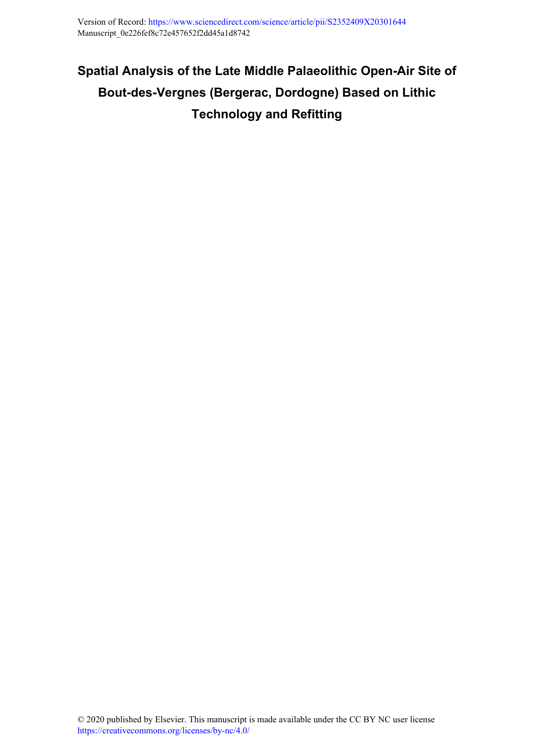# **Spatial Analysis of the Late Middle Palaeolithic Open-Air Site of Bout-des-Vergnes (Bergerac, Dordogne) Based on Lithic Technology and Refitting**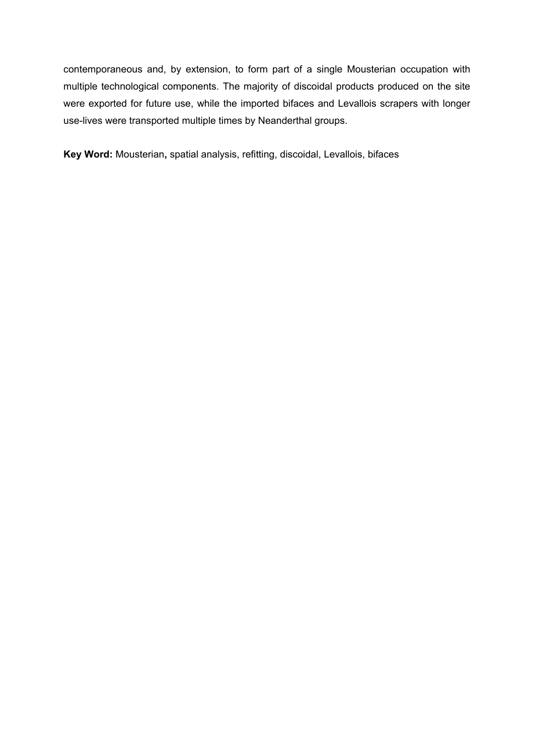contemporaneous and, by extension, to form part of a single Mousterian occupation with multiple technological components. The majority of discoidal products produced on the site were exported for future use, while the imported bifaces and Levallois scrapers with longer use-lives were transported multiple times by Neanderthal groups.

**Key Word:** Mousterian**,** spatial analysis, refitting, discoidal, Levallois, bifaces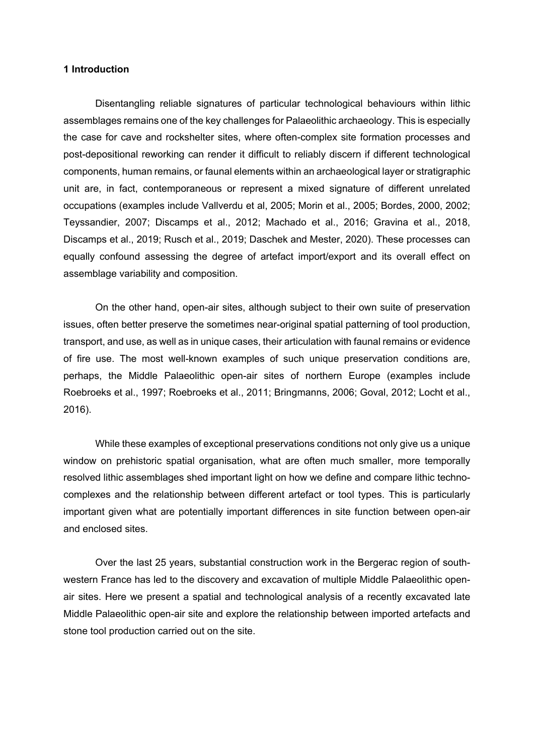#### **1 Introduction**

Disentangling reliable signatures of particular technological behaviours within lithic assemblages remains one of the key challenges for Palaeolithic archaeology. This is especially the case for cave and rockshelter sites, where often-complex site formation processes and post-depositional reworking can render it difficult to reliably discern if different technological components, human remains, or faunal elements within an archaeological layer or stratigraphic unit are, in fact, contemporaneous or represent a mixed signature of different unrelated occupations (examples include Vallverdu et al, 2005; Morin et al., 2005; Bordes, 2000, 2002; Teyssandier, 2007; Discamps et al., 2012; Machado et al., 2016; Gravina et al., 2018, Discamps et al., 2019; Rusch et al., 2019; Daschek and Mester, 2020). These processes can equally confound assessing the degree of artefact import/export and its overall effect on assemblage variability and composition.

On the other hand, open-air sites, although subject to their own suite of preservation issues, often better preserve the sometimes near-original spatial patterning of tool production, transport, and use, as well as in unique cases, their articulation with faunal remains or evidence of fire use. The most well-known examples of such unique preservation conditions are, perhaps, the Middle Palaeolithic open-air sites of northern Europe (examples include Roebroeks et al., 1997; Roebroeks et al., 2011; Bringmanns, 2006; Goval, 2012; Locht et al., 2016).

While these examples of exceptional preservations conditions not only give us a unique window on prehistoric spatial organisation, what are often much smaller, more temporally resolved lithic assemblages shed important light on how we define and compare lithic technocomplexes and the relationship between different artefact or tool types. This is particularly important given what are potentially important differences in site function between open-air and enclosed sites.

Over the last 25 years, substantial construction work in the Bergerac region of southwestern France has led to the discovery and excavation of multiple Middle Palaeolithic openair sites. Here we present a spatial and technological analysis of a recently excavated late Middle Palaeolithic open-air site and explore the relationship between imported artefacts and stone tool production carried out on the site.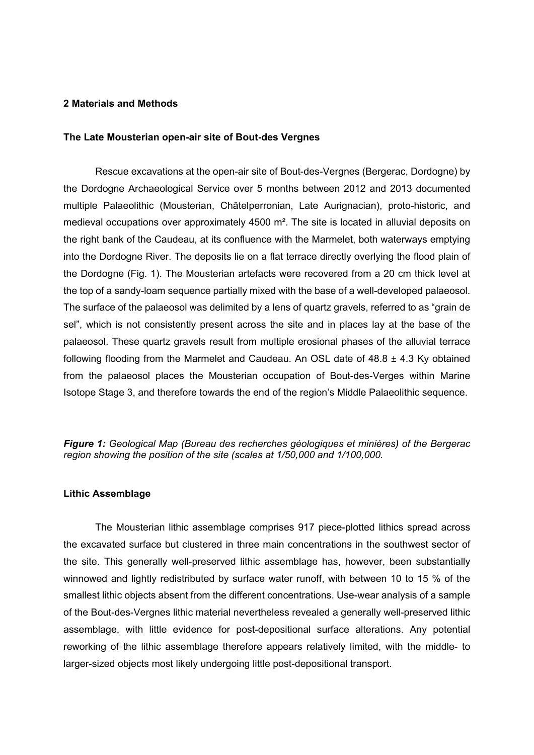#### **2 Materials and Methods**

#### **The Late Mousterian open-air site of Bout-des Vergnes**

Rescue excavations at the open-air site of Bout-des-Vergnes (Bergerac, Dordogne) by the Dordogne Archaeological Service over 5 months between 2012 and 2013 documented multiple Palaeolithic (Mousterian, Châtelperronian, Late Aurignacian), proto-historic, and medieval occupations over approximately 4500 m². The site is located in alluvial deposits on the right bank of the Caudeau, at its confluence with the Marmelet, both waterways emptying into the Dordogne River. The deposits lie on a flat terrace directly overlying the flood plain of the Dordogne (Fig. 1). The Mousterian artefacts were recovered from a 20 cm thick level at the top of a sandy-loam sequence partially mixed with the base of a well-developed palaeosol. The surface of the palaeosol was delimited by a lens of quartz gravels, referred to as "grain de sel", which is not consistently present across the site and in places lay at the base of the palaeosol. These quartz gravels result from multiple erosional phases of the alluvial terrace following flooding from the Marmelet and Caudeau. An OSL date of  $48.8 \pm 4.3$  Ky obtained from the palaeosol places the Mousterian occupation of Bout-des-Verges within Marine Isotope Stage 3, and therefore towards the end of the region's Middle Palaeolithic sequence.

*Figure 1: Geological Map (Bureau des recherches géologiques et minières) of the Bergerac region showing the position of the site (scales at 1/50,000 and 1/100,000.*

#### **Lithic Assemblage**

The Mousterian lithic assemblage comprises 917 piece-plotted lithics spread across the excavated surface but clustered in three main concentrations in the southwest sector of the site. This generally well-preserved lithic assemblage has, however, been substantially winnowed and lightly redistributed by surface water runoff, with between 10 to 15 % of the smallest lithic objects absent from the different concentrations. Use-wear analysis of a sample of the Bout-des-Vergnes lithic material nevertheless revealed a generally well-preserved lithic assemblage, with little evidence for post-depositional surface alterations. Any potential reworking of the lithic assemblage therefore appears relatively limited, with the middle- to larger-sized objects most likely undergoing little post-depositional transport.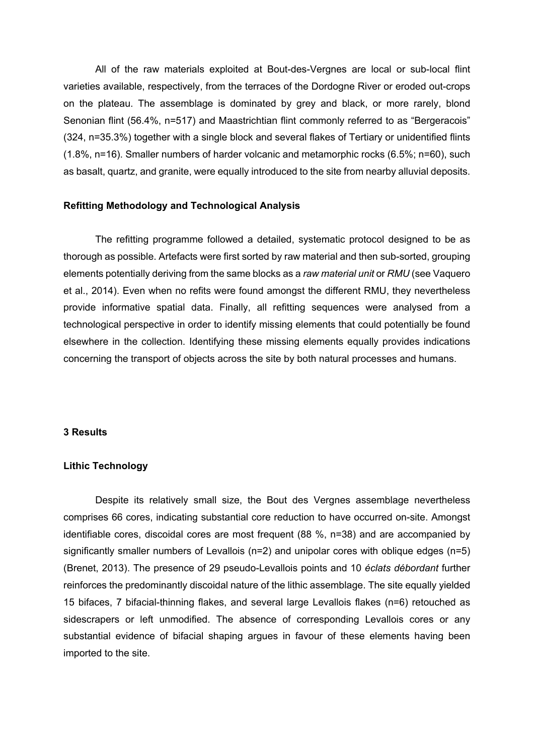All of the raw materials exploited at Bout-des-Vergnes are local or sub-local flint varieties available, respectively, from the terraces of the Dordogne River or eroded out-crops on the plateau. The assemblage is dominated by grey and black, or more rarely, blond Senonian flint (56.4%, n=517) and Maastrichtian flint commonly referred to as "Bergeracois" (324, n=35.3%) together with a single block and several flakes of Tertiary or unidentified flints (1.8%, n=16). Smaller numbers of harder volcanic and metamorphic rocks (6.5%; n=60), such as basalt, quartz, and granite, were equally introduced to the site from nearby alluvial deposits.

#### **Refitting Methodology and Technological Analysis**

The refitting programme followed a detailed, systematic protocol designed to be as thorough as possible. Artefacts were first sorted by raw material and then sub-sorted, grouping elements potentially deriving from the same blocks as a *raw material unit* or *RMU* (see Vaquero et al., 2014). Even when no refits were found amongst the different RMU, they nevertheless provide informative spatial data. Finally, all refitting sequences were analysed from a technological perspective in order to identify missing elements that could potentially be found elsewhere in the collection. Identifying these missing elements equally provides indications concerning the transport of objects across the site by both natural processes and humans.

#### **3 Results**

#### **Lithic Technology**

Despite its relatively small size, the Bout des Vergnes assemblage nevertheless comprises 66 cores, indicating substantial core reduction to have occurred on-site. Amongst identifiable cores, discoidal cores are most frequent (88 %, n=38) and are accompanied by significantly smaller numbers of Levallois (n=2) and unipolar cores with oblique edges (n=5) (Brenet, 2013). The presence of 29 pseudo-Levallois points and 10 *éclats débordant* further reinforces the predominantly discoidal nature of the lithic assemblage. The site equally yielded 15 bifaces, 7 bifacial-thinning flakes, and several large Levallois flakes (n=6) retouched as sidescrapers or left unmodified. The absence of corresponding Levallois cores or any substantial evidence of bifacial shaping argues in favour of these elements having been imported to the site.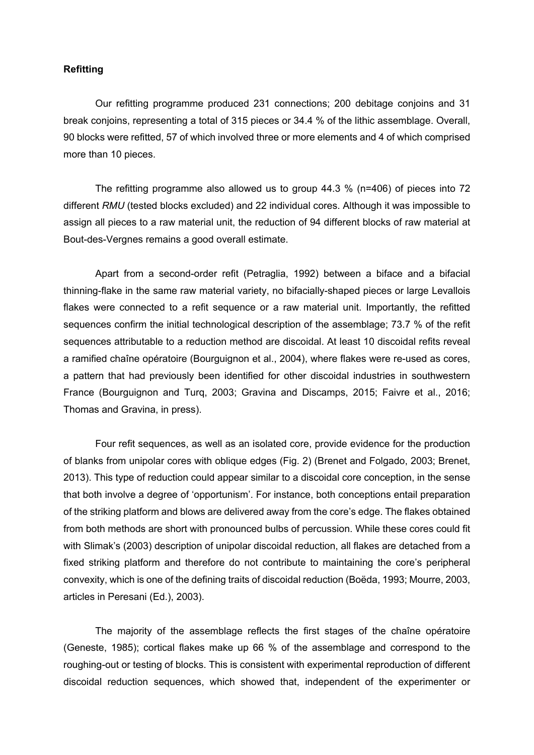#### **Refitting**

Our refitting programme produced 231 connections; 200 debitage conjoins and 31 break conjoins, representing a total of 315 pieces or 34.4 % of the lithic assemblage. Overall, 90 blocks were refitted, 57 of which involved three or more elements and 4 of which comprised more than 10 pieces.

The refitting programme also allowed us to group 44.3 % (n=406) of pieces into 72 different *RMU* (tested blocks excluded) and 22 individual cores. Although it was impossible to assign all pieces to a raw material unit, the reduction of 94 different blocks of raw material at Bout-des-Vergnes remains a good overall estimate.

Apart from a second-order refit (Petraglia, 1992) between a biface and a bifacial thinning-flake in the same raw material variety, no bifacially-shaped pieces or large Levallois flakes were connected to a refit sequence or a raw material unit. Importantly, the refitted sequences confirm the initial technological description of the assemblage; 73.7 % of the refit sequences attributable to a reduction method are discoidal. At least 10 discoidal refits reveal a ramified chaîne opératoire (Bourguignon et al., 2004), where flakes were re-used as cores, a pattern that had previously been identified for other discoidal industries in southwestern France (Bourguignon and Turq, 2003; Gravina and Discamps, 2015; Faivre et al., 2016; Thomas and Gravina, in press).

Four refit sequences, as well as an isolated core, provide evidence for the production of blanks from unipolar cores with oblique edges (Fig. 2) (Brenet and Folgado, 2003; Brenet, 2013). This type of reduction could appear similar to a discoidal core conception, in the sense that both involve a degree of 'opportunism'. For instance, both conceptions entail preparation of the striking platform and blows are delivered away from the core's edge. The flakes obtained from both methods are short with pronounced bulbs of percussion. While these cores could fit with Slimak's (2003) description of unipolar discoidal reduction, all flakes are detached from a fixed striking platform and therefore do not contribute to maintaining the core's peripheral convexity, which is one of the defining traits of discoidal reduction (Boëda, 1993; Mourre, 2003, articles in Peresani (Ed.), 2003).

The majority of the assemblage reflects the first stages of the chaîne opératoire (Geneste, 1985); cortical flakes make up 66 % of the assemblage and correspond to the roughing-out or testing of blocks. This is consistent with experimental reproduction of different discoidal reduction sequences, which showed that, independent of the experimenter or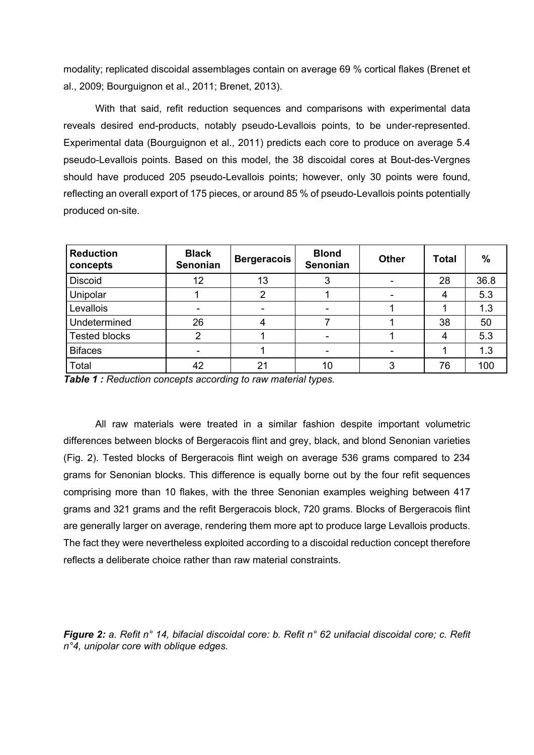modality; replicated discoidal assemblages contain on average 69 % cortical flakes (Brenet et al., 2009; Bourguignon et al., 2011; Brenet, 2013).

With that said, refit reduction sequences and comparisons with experimental data reveals desired end-products, notably pseudo-Levallois points, to be under-represented. Experimental data (Bourguignon et al., 2011) predicts each core to produce on average 5.4 pseudo-Levallois points. Based on this model, the 38 discoidal cores at Bout-des-Vergnes should have produced 205 pseudo-Levallois points; however, only 30 points were found, reflecting an overall export of 175 pieces, or around 85 % of pseudo-Levallois points potentially produced on-site.

| <b>Reduction</b><br>concepts | <b>Black</b><br><b>Senonian</b> | <b>Bergeracois</b> | <b>Blond</b><br><b>Senonian</b> | <b>Other</b> | Total | $\%$ |
|------------------------------|---------------------------------|--------------------|---------------------------------|--------------|-------|------|
| <b>Discoid</b>               | 12                              | 13                 | 3                               |              | 28    | 36.8 |
| Unipolar                     |                                 | 2                  |                                 |              |       | 5.3  |
| Levallois                    | $\overline{\phantom{a}}$        | ۰                  | ٠                               |              |       | 1.3  |
| Undetermined                 | 26                              | 4                  |                                 |              | 38    | 50   |
| <b>Tested blocks</b>         | $\overline{2}$                  |                    | ٠                               |              |       | 5.3  |
| <b>Bifaces</b>               | -                               |                    | $\overline{\phantom{0}}$        |              |       | 1.3  |
| Total                        | 42                              | 21                 | 10                              |              | 76    | 100  |

*Table 1 : Reduction concepts according to raw material types.*

All raw materials were treated in a similar fashion despite important volumetric differences between blocks of Bergeracois flint and grey, black, and blond Senonian varieties (Fig. 2). Tested blocks of Bergeracois flint weigh on average 536 grams compared to 234 grams for Senonian blocks. This difference is equally borne out by the four refit sequences comprising more than 10 flakes, with the three Senonian examples weighing between 417 grams and 321 grams and the refit Bergeracois block, 720 grams. Blocks of Bergeracois flint are generally larger on average, rendering them more apt to produce large Levallois products. The fact they were nevertheless exploited according to a discoidal reduction concept therefore reflects a deliberate choice rather than raw material constraints.

*Figure 2: a. Refit n° 14, bifacial discoidal core: b. Refit n° 62 unifacial discoidal core; c. Refit n°4, unipolar core with oblique edges.*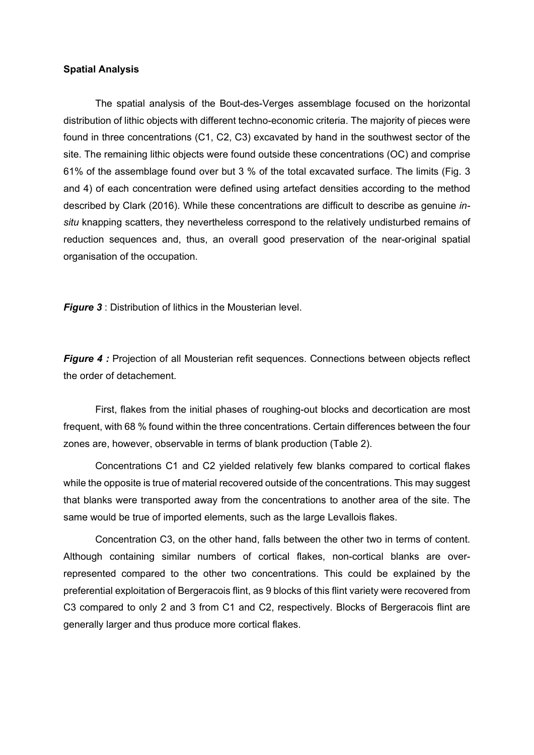#### **Spatial Analysis**

The spatial analysis of the Bout-des-Verges assemblage focused on the horizontal distribution of lithic objects with different techno-economic criteria. The majority of pieces were found in three concentrations (C1, C2, C3) excavated by hand in the southwest sector of the site. The remaining lithic objects were found outside these concentrations (OC) and comprise 61% of the assemblage found over but 3 % of the total excavated surface. The limits (Fig. 3 and 4) of each concentration were defined using artefact densities according to the method described by Clark (2016). While these concentrations are difficult to describe as genuine *insitu* knapping scatters, they nevertheless correspond to the relatively undisturbed remains of reduction sequences and, thus, an overall good preservation of the near-original spatial organisation of the occupation.

*Figure 3* : Distribution of lithics in the Mousterian level.

*Figure 4 :* Projection of all Mousterian refit sequences. Connections between objects reflect the order of detachement.

First, flakes from the initial phases of roughing-out blocks and decortication are most frequent, with 68 % found within the three concentrations. Certain differences between the four zones are, however, observable in terms of blank production (Table 2).

Concentrations C1 and C2 yielded relatively few blanks compared to cortical flakes while the opposite is true of material recovered outside of the concentrations. This may suggest that blanks were transported away from the concentrations to another area of the site. The same would be true of imported elements, such as the large Levallois flakes.

Concentration C3, on the other hand, falls between the other two in terms of content. Although containing similar numbers of cortical flakes, non-cortical blanks are overrepresented compared to the other two concentrations. This could be explained by the preferential exploitation of Bergeracois flint, as 9 blocks of this flint variety were recovered from C3 compared to only 2 and 3 from C1 and C2, respectively. Blocks of Bergeracois flint are generally larger and thus produce more cortical flakes.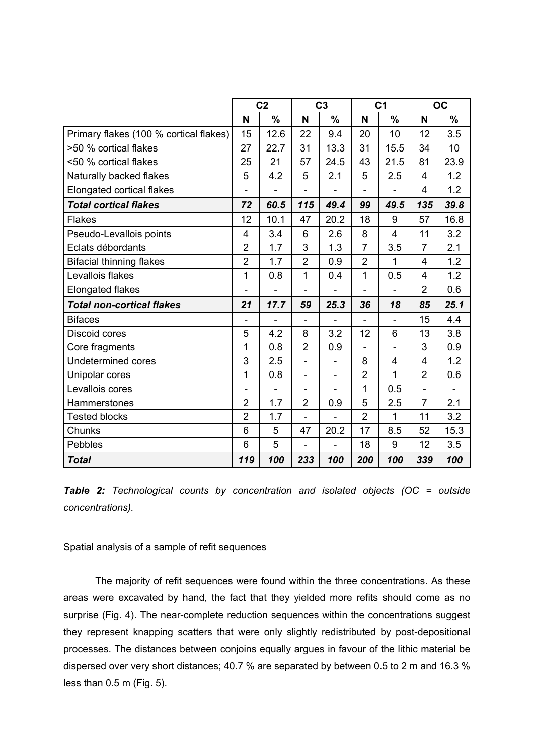|                                        | C <sub>2</sub> |               | C <sub>3</sub>               |                          | C <sub>1</sub> |                | <b>OC</b>      |               |
|----------------------------------------|----------------|---------------|------------------------------|--------------------------|----------------|----------------|----------------|---------------|
|                                        | N              | $\frac{9}{6}$ | N                            | $\frac{9}{6}$            | N              | $\frac{0}{0}$  | N              | $\frac{9}{6}$ |
| Primary flakes (100 % cortical flakes) | 15             | 12.6          | 22                           | 9.4                      | 20             | 10             | 12             | 3.5           |
| >50 % cortical flakes                  | 27             | 22.7          | 31                           | 13.3                     | 31             | 15.5           | 34             | 10            |
| <50 % cortical flakes                  | 25             | 21            | 57                           | 24.5                     | 43             | 21.5           | 81             | 23.9          |
| Naturally backed flakes                | 5              | 4.2           | 5                            | 2.1                      | 5              | 2.5            | 4              | 1.2           |
| <b>Elongated cortical flakes</b>       | ä,             |               | L,                           |                          | $\overline{a}$ |                | $\overline{4}$ | 1.2           |
| <b>Total cortical flakes</b>           |                | 60.5          | 115                          | 49.4                     | 99             | 49.5           | 135            | 39.8          |
| <b>Flakes</b>                          | 12             | 10.1          | 47                           | 20.2                     | 18             | 9              | 57             | 16.8          |
| Pseudo-Levallois points                | 4              | 3.4           | 6                            | 2.6                      | 8              | $\overline{4}$ | 11             | 3.2           |
| Eclats débordants                      | $\overline{2}$ | 1.7           | 3                            | 1.3                      | $\overline{7}$ | 3.5            | $\overline{7}$ | 2.1           |
| <b>Bifacial thinning flakes</b>        | $\overline{2}$ | 1.7           | $\overline{2}$               | 0.9                      | $\overline{2}$ | 1              | 4              | 1.2           |
| Levallois flakes                       | $\overline{1}$ | 0.8           | 1                            | 0.4                      | $\mathbf 1$    | 0.5            | 4              | 1.2           |
| <b>Elongated flakes</b>                |                |               |                              |                          |                |                | $\overline{2}$ | 0.6           |
| <b>Total non-cortical flakes</b>       |                | 17.7          | 59                           | 25.3                     | 36             | 18             | 85             | 25.1          |
| <b>Bifaces</b>                         |                |               |                              |                          |                |                | 15             | 4.4           |
| <b>Discoid cores</b>                   | 5              | 4.2           | 8                            | 3.2                      | 12             | 6              | 13             | 3.8           |
| Core fragments                         | 1              | 0.8           | $\overline{2}$               | 0.9                      | $\overline{a}$ | $\blacksquare$ | 3              | 0.9           |
| <b>Undetermined cores</b>              | 3              | 2.5           | $\qquad \qquad \blacksquare$ | $\overline{\phantom{a}}$ | 8              | $\overline{4}$ | 4              | 1.2           |
| Unipolar cores                         | $\overline{1}$ | 0.8           | $\overline{\phantom{a}}$     |                          | $\overline{2}$ | 1              | $\overline{2}$ | 0.6           |
| Levallois cores                        | $\blacksquare$ |               |                              |                          | 1              | 0.5            |                |               |
| Hammerstones                           | $\overline{2}$ | 1.7           | $\overline{2}$               | 0.9                      | 5              | 2.5            | $\overline{7}$ | 2.1           |
| <b>Tested blocks</b>                   | $\overline{2}$ | 1.7           | ä,                           |                          | $\overline{2}$ | 1              | 11             | 3.2           |
| Chunks                                 | 6              | 5             | 47                           | 20.2                     | 17             | 8.5            | 52             | 15.3          |
| <b>Pebbles</b>                         | 6              | 5             |                              |                          | 18             | 9              | 12             | 3.5           |
| <b>Total</b>                           | 119            | 100           | 233                          | 100                      | 200            | 100            | 339            | 100           |

*Table 2: Technological counts by concentration and isolated objects (OC = outside concentrations).*

Spatial analysis of a sample of refit sequences

The majority of refit sequences were found within the three concentrations. As these areas were excavated by hand, the fact that they yielded more refits should come as no surprise (Fig. 4). The near-complete reduction sequences within the concentrations suggest they represent knapping scatters that were only slightly redistributed by post-depositional processes. The distances between conjoins equally argues in favour of the lithic material be dispersed over very short distances; 40.7 % are separated by between 0.5 to 2 m and 16.3 % less than 0.5 m (Fig. 5).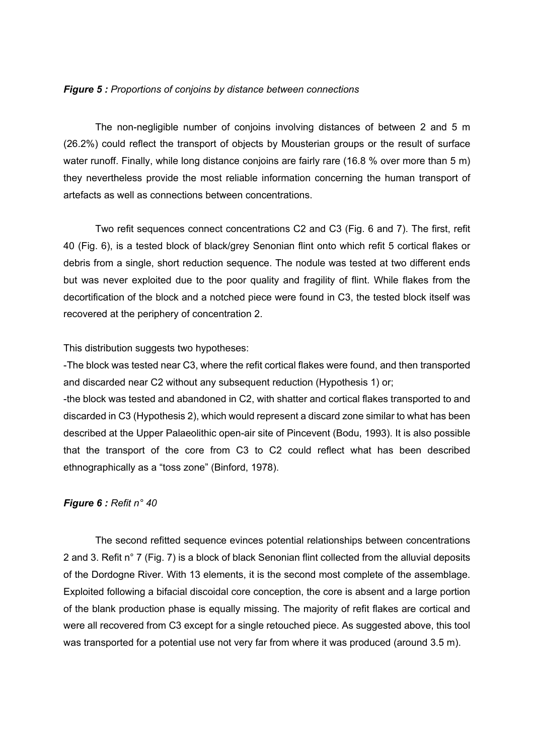#### *Figure 5 : Proportions of conjoins by distance between connections*

The non-negligible number of conjoins involving distances of between 2 and 5 m (26.2%) could reflect the transport of objects by Mousterian groups or the result of surface water runoff. Finally, while long distance conjoins are fairly rare (16.8 % over more than 5 m) they nevertheless provide the most reliable information concerning the human transport of artefacts as well as connections between concentrations.

Two refit sequences connect concentrations C2 and C3 (Fig. 6 and 7). The first, refit 40 (Fig. 6), is a tested block of black/grey Senonian flint onto which refit 5 cortical flakes or debris from a single, short reduction sequence. The nodule was tested at two different ends but was never exploited due to the poor quality and fragility of flint. While flakes from the decortification of the block and a notched piece were found in C3, the tested block itself was recovered at the periphery of concentration 2.

#### This distribution suggests two hypotheses:

-The block was tested near C3, where the refit cortical flakes were found, and then transported and discarded near C2 without any subsequent reduction (Hypothesis 1) or;

-the block was tested and abandoned in C2, with shatter and cortical flakes transported to and discarded in C3 (Hypothesis 2), which would represent a discard zone similar to what has been described at the Upper Palaeolithic open-air site of Pincevent (Bodu, 1993). It is also possible that the transport of the core from C3 to C2 could reflect what has been described ethnographically as a "toss zone" (Binford, 1978).

#### *Figure 6 : Refit n° 40*

The second refitted sequence evinces potential relationships between concentrations 2 and 3. Refit n° 7 (Fig. 7) is a block of black Senonian flint collected from the alluvial deposits of the Dordogne River. With 13 elements, it is the second most complete of the assemblage. Exploited following a bifacial discoidal core conception, the core is absent and a large portion of the blank production phase is equally missing. The majority of refit flakes are cortical and were all recovered from C3 except for a single retouched piece. As suggested above, this tool was transported for a potential use not very far from where it was produced (around 3.5 m).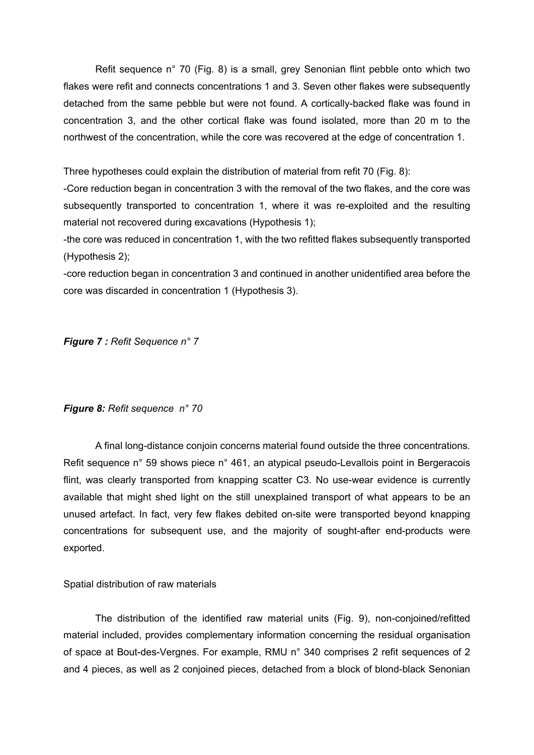Refit sequence n° 70 (Fig. 8) is a small, grey Senonian flint pebble onto which two flakes were refit and connects concentrations 1 and 3. Seven other flakes were subsequently detached from the same pebble but were not found. A cortically-backed flake was found in concentration 3, and the other cortical flake was found isolated, more than 20 m to the northwest of the concentration, while the core was recovered at the edge of concentration 1.

Three hypotheses could explain the distribution of material from refit 70 (Fig. 8):

-Core reduction began in concentration 3 with the removal of the two flakes, and the core was subsequently transported to concentration 1, where it was re-exploited and the resulting material not recovered during excavations (Hypothesis 1);

-the core was reduced in concentration 1, with the two refitted flakes subsequently transported (Hypothesis 2);

-core reduction began in concentration 3 and continued in another unidentified area before the core was discarded in concentration 1 (Hypothesis 3).

*Figure 7 : Refit Sequence n° 7*

*Figure 8: Refit sequence n° 70*

A final long-distance conjoin concerns material found outside the three concentrations. Refit sequence n° 59 shows piece n° 461, an atypical pseudo-Levallois point in Bergeracois flint, was clearly transported from knapping scatter C3. No use-wear evidence is currently available that might shed light on the still unexplained transport of what appears to be an unused artefact. In fact, very few flakes debited on-site were transported beyond knapping concentrations for subsequent use, and the majority of sought-after end-products were exported.

Spatial distribution of raw materials

The distribution of the identified raw material units (Fig. 9), non-conjoined/refitted material included, provides complementary information concerning the residual organisation of space at Bout-des-Vergnes. For example, RMU n° 340 comprises 2 refit sequences of 2 and 4 pieces, as well as 2 conjoined pieces, detached from a block of blond-black Senonian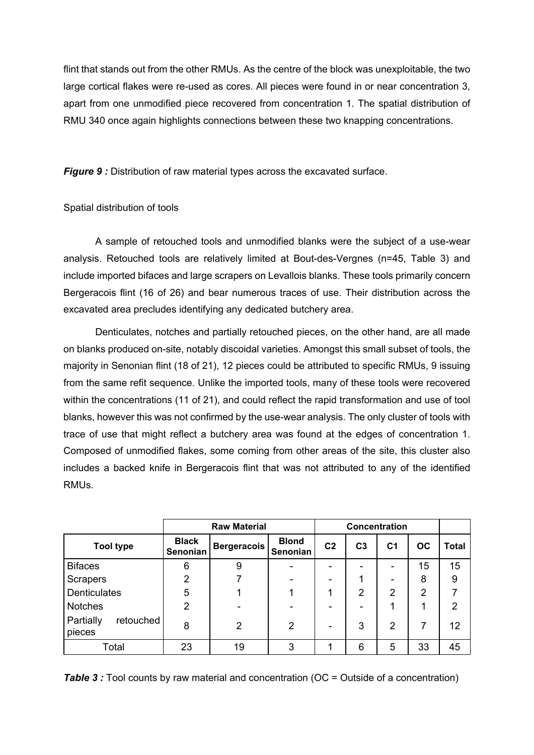flint that stands out from the other RMUs. As the centre of the block was unexploitable, the two large cortical flakes were re-used as cores. All pieces were found in or near concentration 3, apart from one unmodified piece recovered from concentration 1. The spatial distribution of RMU 340 once again highlights connections between these two knapping concentrations.

**Figure 9:** Distribution of raw material types across the excavated surface.

### Spatial distribution of tools

A sample of retouched tools and unmodified blanks were the subject of a use-wear analysis. Retouched tools are relatively limited at Bout-des-Vergnes (n=45, Table 3) and include imported bifaces and large scrapers on Levallois blanks. These tools primarily concern Bergeracois flint (16 of 26) and bear numerous traces of use. Their distribution across the excavated area precludes identifying any dedicated butchery area.

Denticulates, notches and partially retouched pieces, on the other hand, are all made on blanks produced on-site, notably discoidal varieties. Amongst this small subset of tools, the majority in Senonian flint (18 of 21), 12 pieces could be attributed to specific RMUs, 9 issuing from the same refit sequence. Unlike the imported tools, many of these tools were recovered within the concentrations (11 of 21), and could reflect the rapid transformation and use of tool blanks, however this was not confirmed by the use-wear analysis. The only cluster of tools with trace of use that might reflect a butchery area was found at the edges of concentration 1. Composed of unmodified flakes, some coming from other areas of the site, this cluster also includes a backed knife in Bergeracois flint that was not attributed to any of the identified RMUs.

|                                  | <b>Raw Material</b>      |                |                          | Concentration  |                |                |                |                |
|----------------------------------|--------------------------|----------------|--------------------------|----------------|----------------|----------------|----------------|----------------|
| <b>Tool type</b>                 | <b>Black</b><br>Senonian | Bergeracois    | <b>Blond</b><br>Senonian | C <sub>2</sub> | C <sub>3</sub> | C <sub>1</sub> | <b>OC</b>      | <b>Total</b>   |
| <b>Bifaces</b>                   | 6                        | 9              |                          | -              |                | -              | 15             | 15             |
| <b>Scrapers</b>                  | $\overline{2}$           |                |                          | -              |                | -              | 8              | 9              |
| <b>Denticulates</b>              | 5                        |                |                          |                | $\overline{2}$ | $\overline{2}$ | $\overline{2}$ | 7              |
| <b>Notches</b>                   | $\overline{2}$           |                |                          |                |                |                |                | $\overline{2}$ |
| Partially<br>retouched<br>pieces | 8                        | $\overline{2}$ | 2                        | -              | 3              | $\overline{2}$ | 7              | 12             |
| Total                            | 23                       | 19             | 3                        |                | 6              | 5              | 33             | 45             |

**Table 3** : Tool counts by raw material and concentration (OC = Outside of a concentration)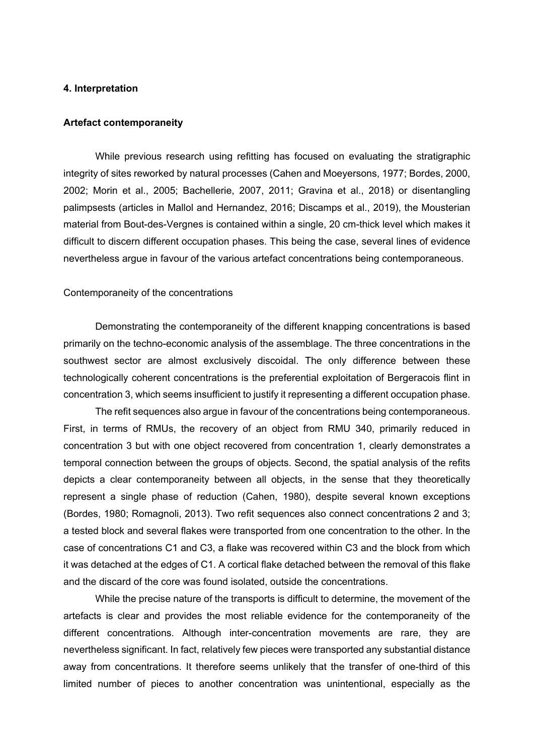#### **4. Interpretation**

#### **Artefact contemporaneity**

While previous research using refitting has focused on evaluating the stratigraphic integrity of sites reworked by natural processes (Cahen and Moeyersons, 1977; Bordes, 2000, 2002; Morin et al., 2005; Bachellerie, 2007, 2011; Gravina et al., 2018) or disentangling palimpsests (articles in Mallol and Hernandez, 2016; Discamps et al., 2019), the Mousterian material from Bout-des-Vergnes is contained within a single, 20 cm-thick level which makes it difficult to discern different occupation phases. This being the case, several lines of evidence nevertheless argue in favour of the various artefact concentrations being contemporaneous.

#### Contemporaneity of the concentrations

Demonstrating the contemporaneity of the different knapping concentrations is based primarily on the techno-economic analysis of the assemblage. The three concentrations in the southwest sector are almost exclusively discoidal. The only difference between these technologically coherent concentrations is the preferential exploitation of Bergeracois flint in concentration 3, which seems insufficient to justify it representing a different occupation phase.

The refit sequences also argue in favour of the concentrations being contemporaneous. First, in terms of RMUs, the recovery of an object from RMU 340, primarily reduced in concentration 3 but with one object recovered from concentration 1, clearly demonstrates a temporal connection between the groups of objects. Second, the spatial analysis of the refits depicts a clear contemporaneity between all objects, in the sense that they theoretically represent a single phase of reduction (Cahen, 1980), despite several known exceptions (Bordes, 1980; Romagnoli, 2013). Two refit sequences also connect concentrations 2 and 3; a tested block and several flakes were transported from one concentration to the other. In the case of concentrations C1 and C3, a flake was recovered within C3 and the block from which it was detached at the edges of C1. A cortical flake detached between the removal of this flake and the discard of the core was found isolated, outside the concentrations.

While the precise nature of the transports is difficult to determine, the movement of the artefacts is clear and provides the most reliable evidence for the contemporaneity of the different concentrations. Although inter-concentration movements are rare, they are nevertheless significant. In fact, relatively few pieces were transported any substantial distance away from concentrations. It therefore seems unlikely that the transfer of one-third of this limited number of pieces to another concentration was unintentional, especially as the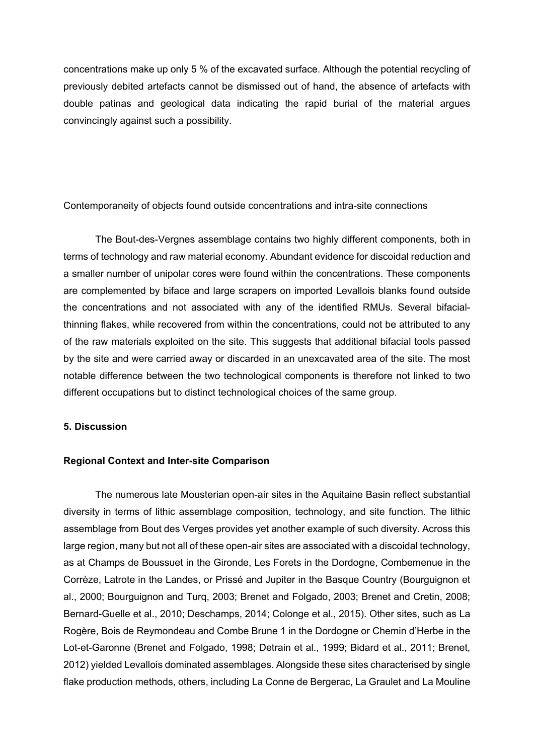concentrations make up only 5 % of the excavated surface. Although the potential recycling of previously debited artefacts cannot be dismissed out of hand, the absence of artefacts with double patinas and geological data indicating the rapid burial of the material argues convincingly against such a possibility.

Contemporaneity of objects found outside concentrations and intra-site connections

The Bout-des-Vergnes assemblage contains two highly different components, both in terms of technology and raw material economy. Abundant evidence for discoidal reduction and a smaller number of unipolar cores were found within the concentrations. These components are complemented by biface and large scrapers on imported Levallois blanks found outside the concentrations and not associated with any of the identified RMUs. Several bifacialthinning flakes, while recovered from within the concentrations, could not be attributed to any of the raw materials exploited on the site. This suggests that additional bifacial tools passed by the site and were carried away or discarded in an unexcavated area of the site. The most notable difference between the two technological components is therefore not linked to two different occupations but to distinct technological choices of the same group.

#### **5. Discussion**

#### **Regional Context and Inter-site Comparison**

The numerous late Mousterian open-air sites in the Aquitaine Basin reflect substantial diversity in terms of lithic assemblage composition, technology, and site function. The lithic assemblage from Bout des Verges provides yet another example of such diversity. Across this large region, many but not all of these open-air sites are associated with a discoidal technology, as at Champs de Boussuet in the Gironde, Les Forets in the Dordogne, Combemenue in the Corrèze, Latrote in the Landes, or Prissé and Jupiter in the Basque Country (Bourguignon et al., 2000; Bourguignon and Turq, 2003; Brenet and Folgado, 2003; Brenet and Cretin, 2008; Bernard-Guelle et al., 2010; Deschamps, 2014; Colonge et al., 2015). Other sites, such as La Rogère, Bois de Reymondeau and Combe Brune 1 in the Dordogne or Chemin d'Herbe in the Lot-et-Garonne (Brenet and Folgado, 1998; Detrain et al., 1999; Bidard et al., 2011; Brenet, 2012) yielded Levallois dominated assemblages. Alongside these sites characterised by single flake production methods, others, including La Conne de Bergerac, La Graulet and La Mouline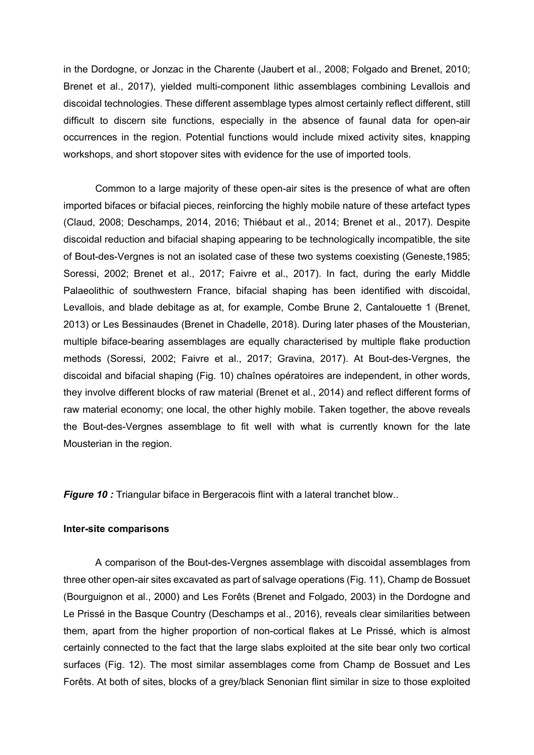in the Dordogne, or Jonzac in the Charente (Jaubert et al., 2008; Folgado and Brenet, 2010; Brenet et al., 2017), yielded multi-component lithic assemblages combining Levallois and discoidal technologies. These different assemblage types almost certainly reflect different, still difficult to discern site functions, especially in the absence of faunal data for open-air occurrences in the region. Potential functions would include mixed activity sites, knapping workshops, and short stopover sites with evidence for the use of imported tools.

Common to a large majority of these open-air sites is the presence of what are often imported bifaces or bifacial pieces, reinforcing the highly mobile nature of these artefact types (Claud, 2008; Deschamps, 2014, 2016; Thiébaut et al., 2014; Brenet et al., 2017). Despite discoidal reduction and bifacial shaping appearing to be technologically incompatible, the site of Bout-des-Vergnes is not an isolated case of these two systems coexisting (Geneste,1985; Soressi, 2002; Brenet et al., 2017; Faivre et al., 2017). In fact, during the early Middle Palaeolithic of southwestern France, bifacial shaping has been identified with discoidal, Levallois, and blade debitage as at, for example, Combe Brune 2, Cantalouette 1 (Brenet, 2013) or Les Bessinaudes (Brenet in Chadelle, 2018). During later phases of the Mousterian, multiple biface-bearing assemblages are equally characterised by multiple flake production methods (Soressi, 2002; Faivre et al., 2017; Gravina, 2017). At Bout-des-Vergnes, the discoidal and bifacial shaping (Fig. 10) chaînes opératoires are independent, in other words, they involve different blocks of raw material (Brenet et al., 2014) and reflect different forms of raw material economy; one local, the other highly mobile. Taken together, the above reveals the Bout-des-Vergnes assemblage to fit well with what is currently known for the late Mousterian in the region.

**Figure 10 :** Triangular biface in Bergeracois flint with a lateral tranchet blow..

#### **Inter-site comparisons**

A comparison of the Bout-des-Vergnes assemblage with discoidal assemblages from three other open-air sites excavated as part of salvage operations (Fig. 11), Champ de Bossuet (Bourguignon et al., 2000) and Les Forêts (Brenet and Folgado, 2003) in the Dordogne and Le Prissé in the Basque Country (Deschamps et al., 2016), reveals clear similarities between them, apart from the higher proportion of non-cortical flakes at Le Prissé, which is almost certainly connected to the fact that the large slabs exploited at the site bear only two cortical surfaces (Fig. 12). The most similar assemblages come from Champ de Bossuet and Les Forêts. At both of sites, blocks of a grey/black Senonian flint similar in size to those exploited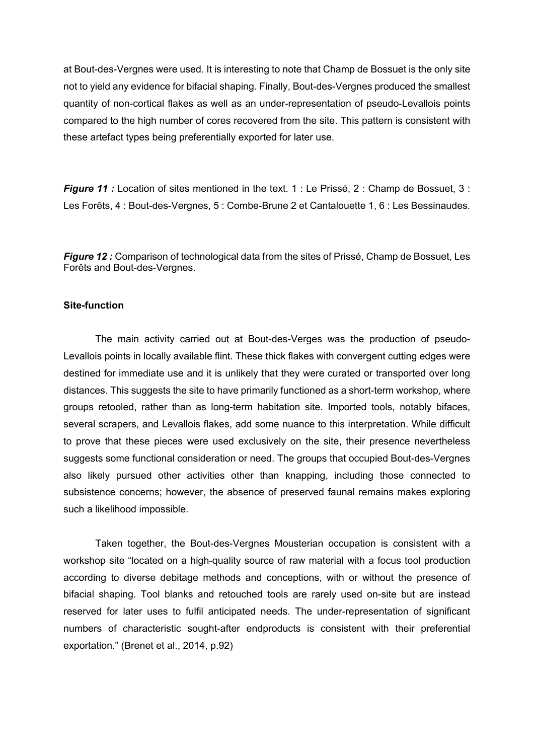at Bout-des-Vergnes were used. It is interesting to note that Champ de Bossuet is the only site not to yield any evidence for bifacial shaping. Finally, Bout-des-Vergnes produced the smallest quantity of non-cortical flakes as well as an under-representation of pseudo-Levallois points compared to the high number of cores recovered from the site. This pattern is consistent with these artefact types being preferentially exported for later use.

**Figure 11 :** Location of sites mentioned in the text. 1 : Le Prissé, 2 : Champ de Bossuet, 3 : Les Forêts, 4 : Bout-des-Vergnes, 5 : Combe-Brune 2 et Cantalouette 1, 6 : Les Bessinaudes.

*Figure 12 :* Comparison of technological data from the sites of Prissé, Champ de Bossuet, Les Forêts and Bout-des-Vergnes.

#### **Site-function**

The main activity carried out at Bout-des-Verges was the production of pseudo-Levallois points in locally available flint. These thick flakes with convergent cutting edges were destined for immediate use and it is unlikely that they were curated or transported over long distances. This suggests the site to have primarily functioned as a short-term workshop, where groups retooled, rather than as long-term habitation site. Imported tools, notably bifaces, several scrapers, and Levallois flakes, add some nuance to this interpretation. While difficult to prove that these pieces were used exclusively on the site, their presence nevertheless suggests some functional consideration or need. The groups that occupied Bout-des-Vergnes also likely pursued other activities other than knapping, including those connected to subsistence concerns; however, the absence of preserved faunal remains makes exploring such a likelihood impossible.

Taken together, the Bout-des-Vergnes Mousterian occupation is consistent with a workshop site "located on a high-quality source of raw material with a focus tool production according to diverse debitage methods and conceptions, with or without the presence of bifacial shaping. Tool blanks and retouched tools are rarely used on-site but are instead reserved for later uses to fulfil anticipated needs. The under-representation of significant numbers of characteristic sought-after endproducts is consistent with their preferential exportation." (Brenet et al., 2014, p.92)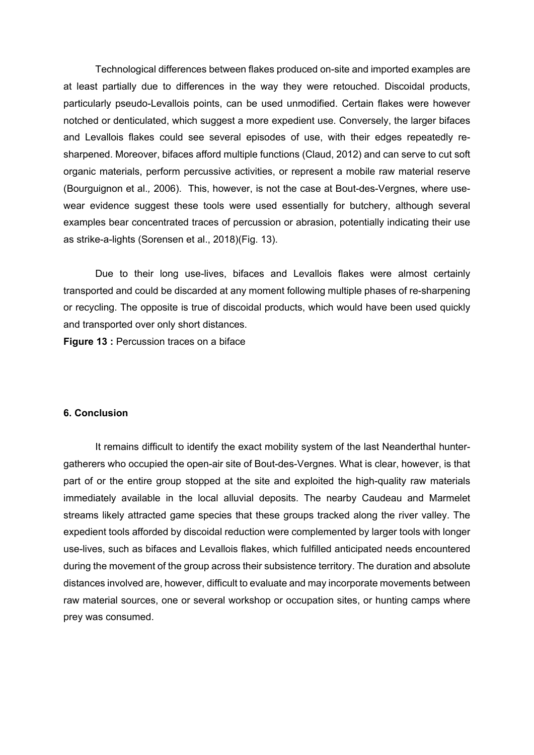Technological differences between flakes produced on-site and imported examples are at least partially due to differences in the way they were retouched. Discoidal products, particularly pseudo-Levallois points, can be used unmodified. Certain flakes were however notched or denticulated, which suggest a more expedient use. Conversely, the larger bifaces and Levallois flakes could see several episodes of use, with their edges repeatedly resharpened. Moreover, bifaces afford multiple functions (Claud, 2012) and can serve to cut soft organic materials, perform percussive activities, or represent a mobile raw material reserve (Bourguignon et al.*,* 2006). This, however, is not the case at Bout-des-Vergnes, where usewear evidence suggest these tools were used essentially for butchery, although several examples bear concentrated traces of percussion or abrasion, potentially indicating their use as strike-a-lights (Sorensen et al., 2018)(Fig. 13).

Due to their long use-lives, bifaces and Levallois flakes were almost certainly transported and could be discarded at any moment following multiple phases of re-sharpening or recycling. The opposite is true of discoidal products, which would have been used quickly and transported over only short distances.

**Figure 13 :** Percussion traces on a biface

#### **6. Conclusion**

It remains difficult to identify the exact mobility system of the last Neanderthal huntergatherers who occupied the open-air site of Bout-des-Vergnes. What is clear, however, is that part of or the entire group stopped at the site and exploited the high-quality raw materials immediately available in the local alluvial deposits. The nearby Caudeau and Marmelet streams likely attracted game species that these groups tracked along the river valley. The expedient tools afforded by discoidal reduction were complemented by larger tools with longer use-lives, such as bifaces and Levallois flakes, which fulfilled anticipated needs encountered during the movement of the group across their subsistence territory. The duration and absolute distances involved are, however, difficult to evaluate and may incorporate movements between raw material sources, one or several workshop or occupation sites, or hunting camps where prey was consumed.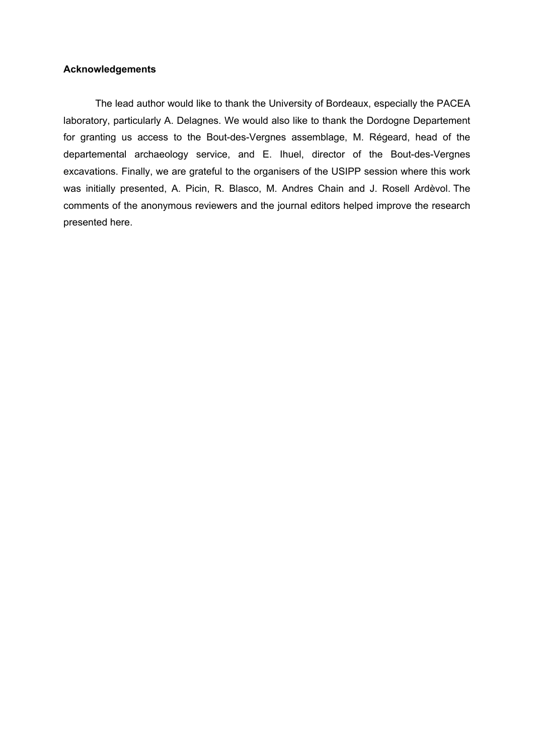#### **Acknowledgements**

The lead author would like to thank the University of Bordeaux, especially the PACEA laboratory, particularly A. Delagnes. We would also like to thank the Dordogne Departement for granting us access to the Bout-des-Vergnes assemblage, M. Régeard, head of the departemental archaeology service, and E. Ihuel, director of the Bout-des-Vergnes excavations. Finally, we are grateful to the organisers of the USIPP session where this work was initially presented, A. Picin, R. Blasco, M. Andres Chain and J. Rosell Ardèvol. The comments of the anonymous reviewers and the journal editors helped improve the research presented here.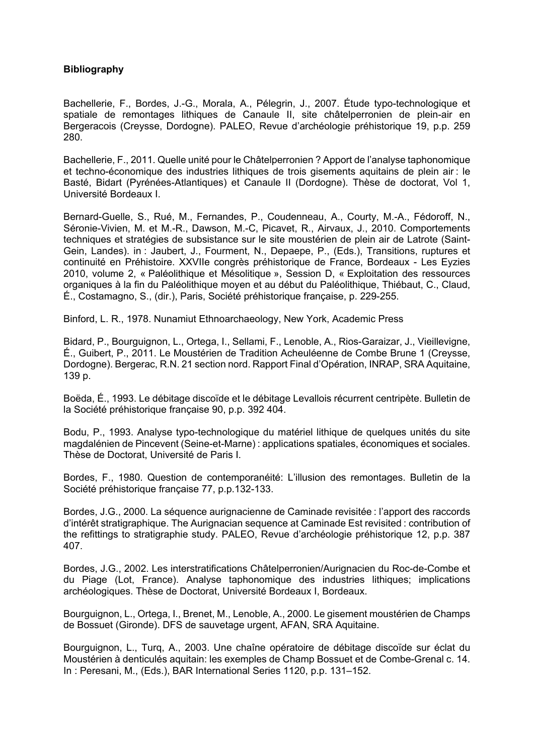#### **Bibliography**

Bachellerie, F., Bordes, J.-G., Morala, A., Pélegrin, J., 2007. Étude typo-technologique et spatiale de remontages lithiques de Canaule II, site châtelperronien de plein-air en Bergeracois (Creysse, Dordogne). PALEO, Revue d'archéologie préhistorique 19, p.p. 259 280.

Bachellerie, F., 2011. Quelle unité pour le Châtelperronien ? Apport de l'analyse taphonomique et techno-économique des industries lithiques de trois gisements aquitains de plein air : le Basté, Bidart (Pyrénées-Atlantiques) et Canaule II (Dordogne). Thèse de doctorat, Vol 1, Université Bordeaux I.

Bernard-Guelle, S., Rué, M., Fernandes, P., Coudenneau, A., Courty, M.-A., Fédoroff, N., Séronie-Vivien, M. et M.-R., Dawson, M.-C, Picavet, R., Airvaux, J., 2010. Comportements techniques et stratégies de subsistance sur le site moustérien de plein air de Latrote (Saint-Gein, Landes). in : Jaubert, J., Fourment, N., Depaepe, P., (Eds.), Transitions, ruptures et continuité en Préhistoire. XXVIIe congrès préhistorique de France, Bordeaux - Les Eyzies 2010, volume 2, « Paléolithique et Mésolitique », Session D, « Exploitation des ressources organiques à la fin du Paléolithique moyen et au début du Paléolithique, Thiébaut, C., Claud, É., Costamagno, S., (dir.), Paris, Société préhistorique française, p. 229-255.

Binford, L. R., 1978. Nunamiut Ethnoarchaeology, New York, Academic Press

Bidard, P., Bourguignon, L., Ortega, I., Sellami, F., Lenoble, A., Rios-Garaizar, J., Vieillevigne, É., Guibert, P., 2011. Le Moustérien de Tradition Acheuléenne de Combe Brune 1 (Creysse, Dordogne). Bergerac, R.N. 21 section nord. Rapport Final d'Opération, INRAP, SRA Aquitaine, 139 p.

Boëda, É., 1993. Le débitage discoïde et le débitage Levallois récurrent centripète. Bulletin de la Société préhistorique française 90, p.p. 392 404.

Bodu, P., 1993. Analyse typo-technologique du matériel lithique de quelques unités du site magdalénien de Pincevent (Seine-et-Marne) : applications spatiales, économiques et sociales. Thèse de Doctorat, Université de Paris I.

Bordes, F., 1980. Question de contemporanéité: L'illusion des remontages. Bulletin de la Société préhistorique française 77, p.p.132-133.

Bordes, J.G., 2000. La séquence aurignacienne de Caminade revisitée : l'apport des raccords d'intérêt stratigraphique. The Aurignacian sequence at Caminade Est revisited : contribution of the refittings to stratigraphie study. PALEO, Revue d'archéologie préhistorique 12, p.p. 387 407.

Bordes, J.G., 2002. Les interstratifications Châtelperronien/Aurignacien du Roc-de-Combe et du Piage (Lot, France). Analyse taphonomique des industries lithiques; implications archéologiques. Thèse de Doctorat, Université Bordeaux I, Bordeaux.

Bourguignon, L., Ortega, I., Brenet, M., Lenoble, A., 2000. Le gisement moustérien de Champs de Bossuet (Gironde). DFS de sauvetage urgent, AFAN, SRA Aquitaine.

Bourguignon, L., Turq, A., 2003. Une chaîne opératoire de débitage discoïde sur éclat du Moustérien à denticulés aquitain: les exemples de Champ Bossuet et de Combe-Grenal c. 14. In : Peresani, M., (Eds.), BAR International Series 1120, p.p. 131–152.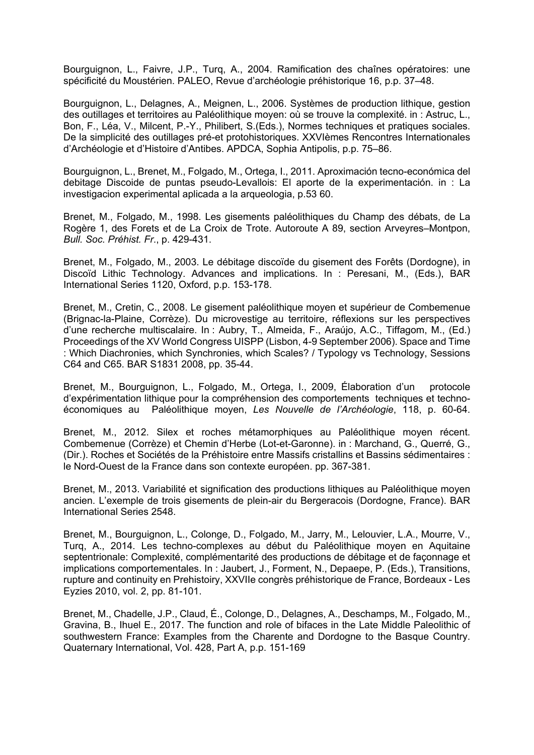Bourguignon, L., Faivre, J.P., Turq, A., 2004. Ramification des chaînes opératoires: une spécificité du Moustérien. PALEO, Revue d'archéologie préhistorique 16, p.p. 37–48.

Bourguignon, L., Delagnes, A., Meignen, L., 2006. Systèmes de production lithique, gestion des outillages et territoires au Paléolithique moyen: où se trouve la complexité. in : Astruc, L., Bon, F., Léa, V., Milcent, P.-Y., Philibert, S.(Eds.), Normes techniques et pratiques sociales. De la simplicité des outillages pré-et protohistoriques. XXVIèmes Rencontres Internationales d'Archéologie et d'Histoire d'Antibes. APDCA, Sophia Antipolis, p.p. 75–86.

Bourguignon, L., Brenet, M., Folgado, M., Ortega, I., 2011. Aproximación tecno-económica del debitage Discoide de puntas pseudo-Levallois: El aporte de la experimentación. in : La investigacion experimental aplicada a la arqueologia, p.53 60.

Brenet, M., Folgado, M., 1998. Les gisements paléolithiques du Champ des débats, de La Rogère 1, des Forets et de La Croix de Trote. Autoroute A 89, section Arveyres–Montpon, *Bull. Soc. Préhist. Fr*., p. 429-431.

Brenet, M., Folgado, M., 2003. Le débitage discoïde du gisement des Forêts (Dordogne), in Discoïd Lithic Technology. Advances and implications. In : Peresani, M., (Eds.), BAR International Series 1120, Oxford, p.p. 153-178.

Brenet, M., Cretin, C., 2008. Le gisement paléolithique moyen et supérieur de Combemenue (Brignac-la-Plaine, Corrèze). Du microvestige au territoire, réflexions sur les perspectives d'une recherche multiscalaire. In : Aubry, T., Almeida, F., Araújo, A.C., Tiffagom, M., (Ed.) Proceedings of the XV World Congress UISPP (Lisbon, 4-9 September 2006). Space and Time : Which Diachronies, which Synchronies, which Scales? / Typology vs Technology, Sessions C64 and C65. BAR S1831 2008, pp. 35-44.

Brenet, M., Bourguignon, L., Folgado, M., Ortega, I., 2009, Élaboration d'un protocole d'expérimentation lithique pour la compréhension des comportements techniques et technoéconomiques au Paléolithique moyen, *Les Nouvelle de l'Archéologie*, 118, p. 60-64.

Brenet, M., 2012. Silex et roches métamorphiques au Paléolithique moyen récent. Combemenue (Corrèze) et Chemin d'Herbe (Lot-et-Garonne). in : Marchand, G., Querré, G., (Dir.). Roches et Sociétés de la Préhistoire entre Massifs cristallins et Bassins sédimentaires : le Nord-Ouest de la France dans son contexte européen. pp. 367-381.

Brenet, M., 2013. Variabilité et signification des productions lithiques au Paléolithique moyen ancien. L'exemple de trois gisements de plein-air du Bergeracois (Dordogne, France). BAR International Series 2548.

Brenet, M., Bourguignon, L., Colonge, D., Folgado, M., Jarry, M., Lelouvier, L.A., Mourre, V., Turq, A., 2014. Les techno-complexes au début du Paléolithique moyen en Aquitaine septentrionale: Complexité, complémentarité des productions de débitage et de façonnage et implications comportementales. In : Jaubert, J., Forment, N., Depaepe, P. (Eds.), Transitions, rupture and continuity en Prehistoiry, XXVIIe congrès préhistorique de France, Bordeaux - Les Eyzies 2010, vol. 2, pp. 81-101.

Brenet, M., Chadelle, J.P., Claud, É., Colonge, D., Delagnes, A., Deschamps, M., Folgado, M., Gravina, B., Ihuel E., 2017. The function and role of bifaces in the Late Middle Paleolithic of southwestern France: Examples from the Charente and Dordogne to the Basque Country. Quaternary International, Vol. 428, Part A, p.p. 151-169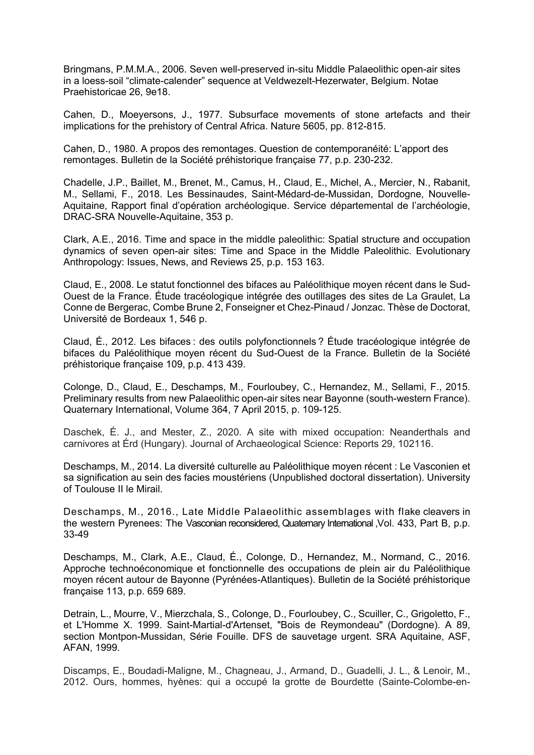Bringmans, P.M.M.A., 2006. Seven well-preserved in-situ Middle Palaeolithic open-air sites in a loess-soil "climate-calender" sequence at Veldwezelt-Hezerwater, Belgium. Notae Praehistoricae 26, 9e18.

Cahen, D., Moeyersons, J., 1977. Subsurface movements of stone artefacts and their implications for the prehistory of Central Africa. Nature 5605, pp. 812-815.

Cahen, D., 1980. A propos des remontages. Question de contemporanéité: L'apport des remontages. Bulletin de la Société préhistorique française 77, p.p. 230-232.

Chadelle, J.P., Baillet, M., Brenet, M., Camus, H., Claud, E., Michel, A., Mercier, N., Rabanit, M., Sellami, F., 2018. Les Bessinaudes, Saint-Médard-de-Mussidan, Dordogne, Nouvelle-Aquitaine, Rapport final d'opération archéologique. Service départemental de l'archéologie, DRAC-SRA Nouvelle-Aquitaine, 353 p.

Clark, A.E., 2016. Time and space in the middle paleolithic: Spatial structure and occupation dynamics of seven open-air sites: Time and Space in the Middle Paleolithic. Evolutionary Anthropology: Issues, News, and Reviews 25, p.p. 153 163.

Claud, E., 2008. Le statut fonctionnel des bifaces au Paléolithique moyen récent dans le Sud-Ouest de la France. Étude tracéologique intégrée des outillages des sites de La Graulet, La Conne de Bergerac, Combe Brune 2, Fonseigner et Chez-Pinaud / Jonzac. Thèse de Doctorat, Université de Bordeaux 1, 546 p.

Claud, É., 2012. Les bifaces : des outils polyfonctionnels ? Étude tracéologique intégrée de bifaces du Paléolithique moyen récent du Sud-Ouest de la France. Bulletin de la Société préhistorique française 109, p.p. 413 439.

Colonge, D., Claud, E., Deschamps, M., Fourloubey, C., Hernandez, M., Sellami, F., 2015. Preliminary results from new Palaeolithic open-air sites near Bayonne (south-western France). Quaternary International, Volume 364, 7 April 2015, p. 109-125.

Daschek, É. J., and Mester, Z., 2020. A site with mixed occupation: Neanderthals and carnivores at Érd (Hungary). Journal of Archaeological Science: Reports 29, 102116.

Deschamps, M., 2014. La diversité culturelle au Paléolithique moyen récent : Le Vasconien et sa signification au sein des facies moustériens (Unpublished doctoral dissertation). University of Toulouse II le Mirail.

Deschamps, M., 2016., Late Middle Palaeolithic assemblages with flake cleavers in the western Pyrenees: The Vasconian reconsidered, Quaternary International ,Vol. 433, Part B, p.p. 33-49

Deschamps, M., Clark, A.E., Claud, É., Colonge, D., Hernandez, M., Normand, C., 2016. Approche technoéconomique et fonctionnelle des occupations de plein air du Paléolithique moyen récent autour de Bayonne (Pyrénées-Atlantiques). Bulletin de la Société préhistorique française 113, p.p. 659 689.

Detrain, L., Mourre, V., Mierzchala, S., Colonge, D., Fourloubey, C., Scuiller, C., Grigoletto, F., et L'Homme X. 1999. Saint-Martial-d'Artenset, "Bois de Reymondeau" (Dordogne). A 89, section Montpon-Mussidan, Série Fouille. DFS de sauvetage urgent. SRA Aquitaine, ASF, AFAN, 1999.

Discamps, E., Boudadi-Maligne, M., Chagneau, J., Armand, D., Guadelli, J. L., & Lenoir, M., 2012. Ours, hommes, hyènes: qui a occupé la grotte de Bourdette (Sainte-Colombe-en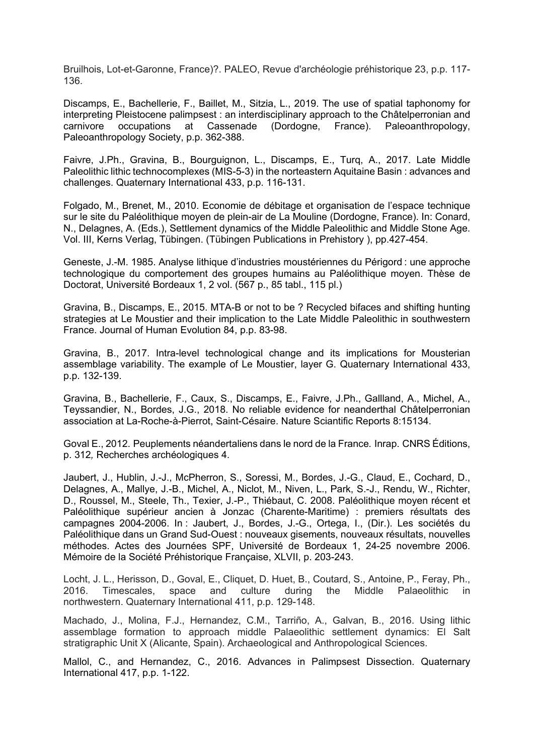Bruilhois, Lot-et-Garonne, France)?. PALEO, Revue d'archéologie préhistorique 23, p.p. 117- 136.

Discamps, E., Bachellerie, F., Baillet, M., Sitzia, L., 2019. The use of spatial taphonomy for interpreting Pleistocene palimpsest : an interdisciplinary approach to the Châtelperronian and carnivore occupations at Cassenade (Dordogne, France). Paleoanthropology, Paleoanthropology Society, p.p. 362-388.

Faivre, J.Ph., Gravina, B., Bourguignon, L., Discamps, E., Turq, A., 2017. Late Middle Paleolithic lithic technocomplexes (MIS-5-3) in the norteastern Aquitaine Basin : advances and challenges. Quaternary International 433, p.p. 116-131.

Folgado, M., Brenet, M., 2010. Economie de débitage et organisation de l'espace technique sur le site du Paléolithique moyen de plein-air de La Mouline (Dordogne, France). In: Conard, N., Delagnes, A. (Eds.), Settlement dynamics of the Middle Paleolithic and Middle Stone Age. Vol. III, Kerns Verlag, Tübingen. (Tübingen Publications in Prehistory ), pp.427-454.

Geneste, J.-M. 1985. Analyse lithique d'industries moustériennes du Périgord : une approche technologique du comportement des groupes humains au Paléolithique moyen. Thèse de Doctorat, Université Bordeaux 1, 2 vol. (567 p., 85 tabl., 115 pl.)

Gravina, B., Discamps, E., 2015. MTA-B or not to be ? Recycled bifaces and shifting hunting strategies at Le Moustier and their implication to the Late Middle Paleolithic in southwestern France. Journal of Human Evolution 84, p.p. 83-98.

Gravina, B., 2017. Intra-level technological change and its implications for Mousterian assemblage variability. The example of Le Moustier, layer G. Quaternary International 433, p.p. 132-139.

Gravina, B., Bachellerie, F., Caux, S., Discamps, E., Faivre, J.Ph., Gallland, A., Michel, A., Teyssandier, N., Bordes, J.G., 2018. No reliable evidence for neanderthal Châtelperronian association at La-Roche-à-Pierrot, Saint-Césaire. Nature Sciantific Reports 8:15134.

Goval E., 2012. Peuplements néandertaliens dans le nord de la France*.* Inrap. CNRS Éditions, p. 312*,* Recherches archéologiques 4.

Jaubert, J., Hublin, J.-J., McPherron, S., Soressi, M., Bordes, J.-G., Claud, E., Cochard, D., Delagnes, A., Mallye, J.-B., Michel, A., Niclot, M., Niven, L., Park, S.-J., Rendu, W., Richter, D., Roussel, M., Steele, Th., Texier, J.-P., Thiébaut, C. 2008. Paléolithique moyen récent et Paléolithique supérieur ancien à Jonzac (Charente-Maritime) : premiers résultats des campagnes 2004-2006. In : Jaubert, J., Bordes, J.-G., Ortega, I., (Dir.). Les sociétés du Paléolithique dans un Grand Sud-Ouest : nouveaux gisements, nouveaux résultats, nouvelles méthodes. Actes des Journées SPF, Université de Bordeaux 1, 24-25 novembre 2006. Mémoire de la Société Préhistorique Française, XLVII, p. 203-243.

Locht, J. L., Herisson, D., Goval, E., Cliquet, D. Huet, B., Coutard, S., Antoine, P., Feray, Ph., 2016. Timescales, space and culture during the Middle Palaeolithic in northwestern. Quaternary International 411, p.p. 129-148.

Machado, J., Molina, F.J., Hernandez, C.M., Tarriño, A., Galvan, B., 2016. Using lithic assemblage formation to approach middle Palaeolithic settlement dynamics: El Salt stratigraphic Unit X (Alicante, Spain). Archaeological and Anthropological Sciences.

Mallol, C., and Hernandez, C., 2016. Advances in Palimpsest Dissection. Quaternary International 417, p.p. 1-122.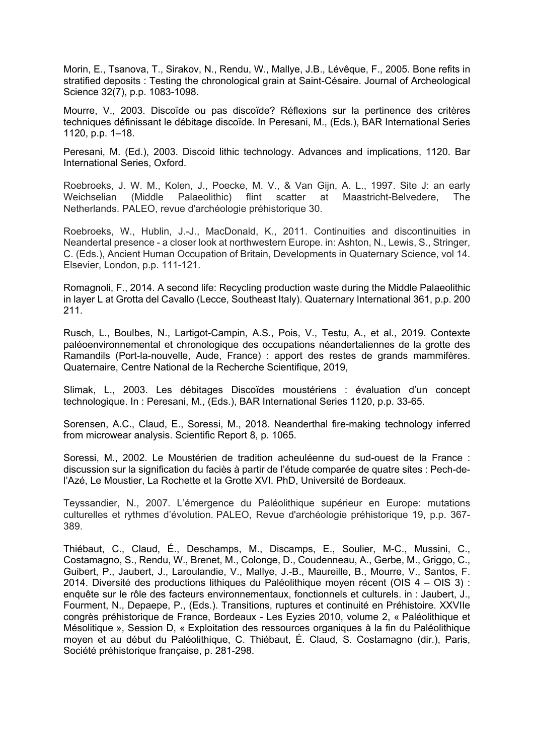Morin, E., Tsanova, T., Sirakov, N., Rendu, W., Mallye, J.B., Lévêque, F., 2005. Bone refits in stratified deposits : Testing the chronological grain at Saint-Césaire. Journal of Archeological Science 32(7), p.p. 1083-1098.

Mourre, V., 2003. Discoïde ou pas discoïde? Réflexions sur la pertinence des critères techniques définissant le débitage discoïde. In Peresani, M., (Eds.), BAR International Series 1120, p.p. 1–18.

Peresani, M. (Ed.), 2003. Discoid lithic technology. Advances and implications, 1120. Bar International Series, Oxford.

Roebroeks, J. W. M., Kolen, J., Poecke, M. V., & Van Gijn, A. L., 1997. Site J: an early Weichselian (Middle Palaeolithic) flint scatter at Maastricht-Belvedere, The Netherlands. PALEO, revue d'archéologie préhistorique 30.

Roebroeks, W., Hublin, J.-J., MacDonald, K., 2011. Continuities and discontinuities in Neandertal presence - a closer look at northwestern Europe. in: Ashton, N., Lewis, S., Stringer, C. (Eds.), Ancient Human Occupation of Britain, Developments in Quaternary Science, vol 14. Elsevier, London, p.p. 111-121.

Romagnoli, F., 2014. A second life: Recycling production waste during the Middle Palaeolithic in layer L at Grotta del Cavallo (Lecce, Southeast Italy). Quaternary International 361, p.p. 200 211.

Rusch, L., Boulbes, N., Lartigot-Campin, A.S., Pois, V., Testu, A., et al., 2019. Contexte paléoenvironnemental et chronologique des occupations néandertaliennes de la grotte des Ramandils (Port-la-nouvelle, Aude, France) : apport des restes de grands mammifères. Quaternaire, Centre National de la Recherche Scientifique, 2019,

Slimak, L., 2003. Les débitages Discoïdes moustériens : évaluation d'un concept technologique. In : Peresani, M., (Eds.), BAR International Series 1120, p.p. 33-65.

Sorensen, A.C., Claud, E., Soressi, M., 2018. Neanderthal fire-making technology inferred from microwear analysis. Scientific Report 8, p. 1065.

Soressi, M., 2002. Le Moustérien de tradition acheuléenne du sud-ouest de la France : discussion sur la signification du faciès à partir de l'étude comparée de quatre sites : Pech-del'Azé, Le Moustier, La Rochette et la Grotte XVI. PhD, Université de Bordeaux.

Teyssandier, N., 2007. L'émergence du Paléolithique supérieur en Europe: mutations culturelles et rythmes d'évolution. PALEO, Revue d'archéologie préhistorique 19, p.p. 367- 389.

Thiébaut, C., Claud, É., Deschamps, M., Discamps, E., Soulier, M-C., Mussini, C., Costamagno, S., Rendu, W., Brenet, M., Colonge, D., Coudenneau, A., Gerbe, M., Griggo, C., Guibert, P., Jaubert, J., Laroulandie, V., Mallye, J.-B., Maureille, B., Mourre, V., Santos, F. 2014. Diversité des productions lithiques du Paléolithique moyen récent (OIS 4 – OIS 3) : enquête sur le rôle des facteurs environnementaux, fonctionnels et culturels. in : Jaubert, J., Fourment, N., Depaepe, P., (Eds.). Transitions, ruptures et continuité en Préhistoire. XXVIIe congrès préhistorique de France, Bordeaux - Les Eyzies 2010, volume 2, « Paléolithique et Mésolitique », Session D, « Exploitation des ressources organiques à la fin du Paléolithique moyen et au début du Paléolithique, C. Thiébaut, É. Claud, S. Costamagno (dir.), Paris, Société préhistorique française, p. 281-298.